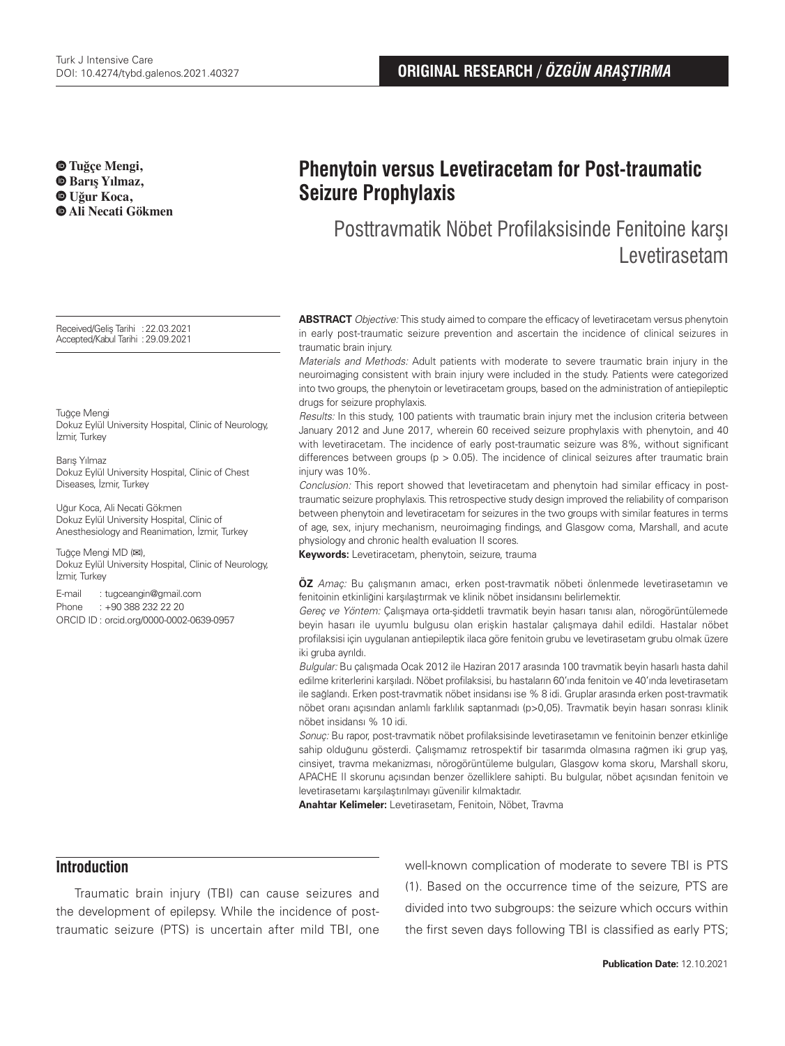**Tuğçe Mengi, Barış Yılmaz, Uğur Koca, Ali Necati Gökmen**

Received/Geliş Tarihi :22.03.2021 Accepted/Kabul Tarihi :29.09.2021

Tuğçe Mengi Dokuz Eylül University Hospital, Clinic of Neurology, İzmir, Turkey

Barış Yılmaz Dokuz Eylül University Hospital, Clinic of Chest Diseases, İzmir, Turkey

Uğur Koca, Ali Necati Gökmen Dokuz Eylül University Hospital, Clinic of Anesthesiology and Reanimation, İzmir, Turkey

Tuğçe Mengi MD (**✉**), Dokuz Eylül University Hospital, Clinic of Neurology, İzmir, Turkey

E-mail : tugceangin@gmail.com Phone : +90 388 232 22 20 ORCID ID : orcid.org/0000-0002-0639-0957

# **Phenytoin versus Levetiracetam for Post-traumatic Seizure Prophylaxis**

Posttravmatik Nöbet Profilaksisinde Fenitoine karşı Levetirasetam

**ABSTRACT** Objective: This study aimed to compare the efficacy of levetiracetam versus phenytoin in early post-traumatic seizure prevention and ascertain the incidence of clinical seizures in traumatic brain injury.

Materials and Methods: Adult patients with moderate to severe traumatic brain injury in the neuroimaging consistent with brain injury were included in the study. Patients were categorized into two groups, the phenytoin or levetiracetam groups, based on the administration of antiepileptic drugs for seizure prophylaxis.

Results: In this study, 100 patients with traumatic brain injury met the inclusion criteria between January 2012 and June 2017, wherein 60 received seizure prophylaxis with phenytoin, and 40 with levetiracetam. The incidence of early post-traumatic seizure was 8%, without significant differences between groups ( $p > 0.05$ ). The incidence of clinical seizures after traumatic brain injury was 10%.

Conclusion: This report showed that levetiracetam and phenytoin had similar efficacy in posttraumatic seizure prophylaxis. This retrospective study design improved the reliability of comparison between phenytoin and levetiracetam for seizures in the two groups with similar features in terms of age, sex, injury mechanism, neuroimaging findings, and Glasgow coma, Marshall, and acute physiology and chronic health evaluation II scores.

**Keywords:** Levetiracetam, phenytoin, seizure, trauma

**ÖZ** Amaç: Bu çalışmanın amacı, erken post-travmatik nöbeti önlenmede levetirasetamın ve fenitoinin etkinliğini karşılaştırmak ve klinik nöbet insidansını belirlemektir.

Gereç ve Yöntem: Çalışmaya orta-şiddetli travmatik beyin hasarı tanısı alan, nörogörüntülemede beyin hasarı ile uyumlu bulgusu olan erişkin hastalar çalışmaya dahil edildi. Hastalar nöbet profilaksisi için uygulanan antiepileptik ilaca göre fenitoin grubu ve levetirasetam grubu olmak üzere iki gruba ayrıldı.

Bulgular: Bu çalışmada Ocak 2012 ile Haziran 2017 arasında 100 travmatik beyin hasarlı hasta dahil edilme kriterlerini karşıladı. Nöbet profilaksisi, bu hastaların 60'ında fenitoin ve 40'ında levetirasetam ile sağlandı. Erken post-travmatik nöbet insidansı ise % 8 idi. Gruplar arasında erken post-travmatik nöbet oranı açısından anlamlı farklılık saptanmadı (p>0,05). Travmatik beyin hasarı sonrası klinik nöbet insidansı % 10 idi.

Sonuç: Bu rapor, post-travmatik nöbet profilaksisinde levetirasetamın ve fenitoinin benzer etkinliğe sahip olduğunu gösterdi. Çalışmamız retrospektif bir tasarımda olmasına rağmen iki grup yaş, cinsiyet, travma mekanizması, nörogörüntüleme bulguları, Glasgow koma skoru, Marshall skoru, APACHE II skorunu açısından benzer özelliklere sahipti. Bu bulgular, nöbet açısından fenitoin ve levetirasetamı karşılaştırılmayı güvenilir kılmaktadır.

**Anahtar Kelimeler:** Levetirasetam, Fenitoin, Nöbet, Travma

# **Introduction**

Traumatic brain injury (TBI) can cause seizures and the development of epilepsy. While the incidence of posttraumatic seizure (PTS) is uncertain after mild TBI, one well-known complication of moderate to severe TBI is PTS (1). Based on the occurrence time of the seizure, PTS are divided into two subgroups: the seizure which occurs within the first seven days following TBI is classified as early PTS;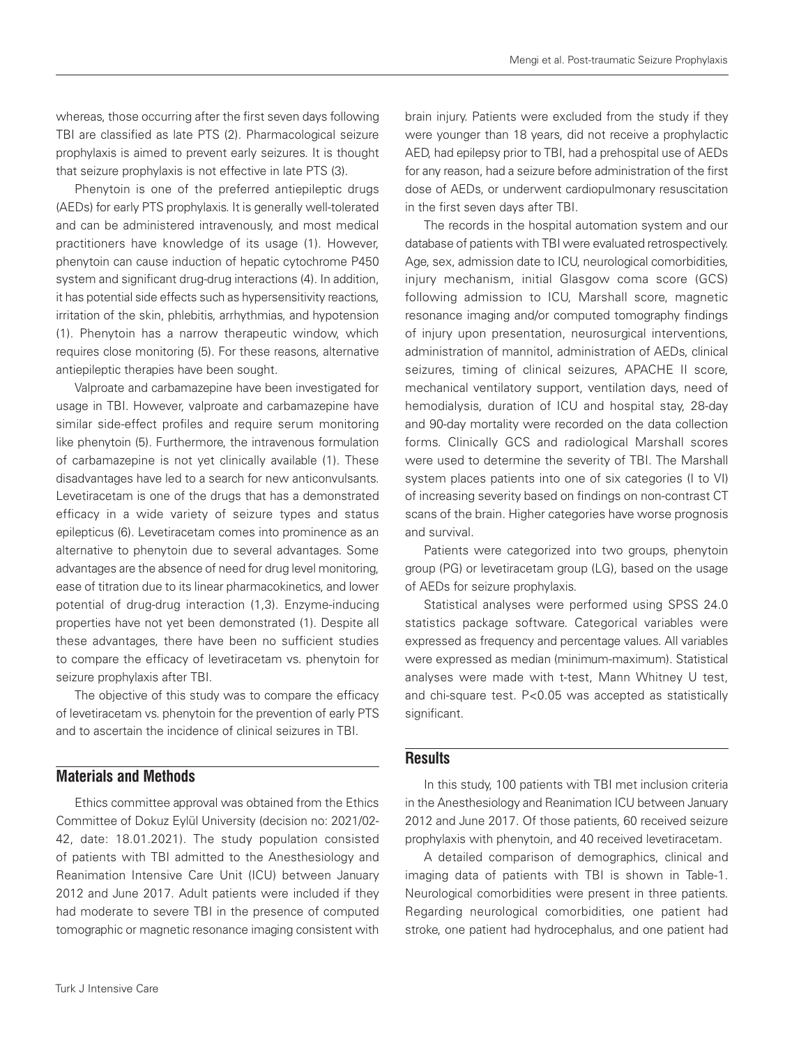whereas, those occurring after the first seven days following TBI are classified as late PTS (2). Pharmacological seizure prophylaxis is aimed to prevent early seizures. It is thought that seizure prophylaxis is not effective in late PTS (3).

Phenytoin is one of the preferred antiepileptic drugs (AEDs) for early PTS prophylaxis. It is generally well-tolerated and can be administered intravenously, and most medical practitioners have knowledge of its usage (1). However, phenytoin can cause induction of hepatic cytochrome P450 system and significant drug-drug interactions (4). In addition, it has potential side effects such as hypersensitivity reactions, irritation of the skin, phlebitis, arrhythmias, and hypotension (1). Phenytoin has a narrow therapeutic window, which requires close monitoring (5). For these reasons, alternative antiepileptic therapies have been sought.

Valproate and carbamazepine have been investigated for usage in TBI. However, valproate and carbamazepine have similar side-effect profiles and require serum monitoring like phenytoin (5). Furthermore, the intravenous formulation of carbamazepine is not yet clinically available (1). These disadvantages have led to a search for new anticonvulsants. Levetiracetam is one of the drugs that has a demonstrated efficacy in a wide variety of seizure types and status epilepticus (6). Levetiracetam comes into prominence as an alternative to phenytoin due to several advantages. Some advantages are the absence of need for drug level monitoring, ease of titration due to its linear pharmacokinetics, and lower potential of drug-drug interaction (1,3). Enzyme-inducing properties have not yet been demonstrated (1). Despite all these advantages, there have been no sufficient studies to compare the efficacy of levetiracetam vs. phenytoin for seizure prophylaxis after TBI.

The objective of this study was to compare the efficacy of levetiracetam vs. phenytoin for the prevention of early PTS and to ascertain the incidence of clinical seizures in TBI.

# **Materials and Methods**

Ethics committee approval was obtained from the Ethics Committee of Dokuz Eylül University (decision no: 2021/02- 42, date: 18.01.2021). The study population consisted of patients with TBI admitted to the Anesthesiology and Reanimation Intensive Care Unit (ICU) between January 2012 and June 2017. Adult patients were included if they had moderate to severe TBI in the presence of computed tomographic or magnetic resonance imaging consistent with

brain injury. Patients were excluded from the study if they were younger than 18 years, did not receive a prophylactic AED, had epilepsy prior to TBI, had a prehospital use of AEDs for any reason, had a seizure before administration of the first dose of AEDs, or underwent cardiopulmonary resuscitation in the first seven days after TBI.

The records in the hospital automation system and our database of patients with TBI were evaluated retrospectively. Age, sex, admission date to ICU, neurological comorbidities, injury mechanism, initial Glasgow coma score (GCS) following admission to ICU, Marshall score, magnetic resonance imaging and/or computed tomography findings of injury upon presentation, neurosurgical interventions, administration of mannitol, administration of AEDs, clinical seizures, timing of clinical seizures, APACHE II score, mechanical ventilatory support, ventilation days, need of hemodialysis, duration of ICU and hospital stay, 28-day and 90-day mortality were recorded on the data collection forms. Clinically GCS and radiological Marshall scores were used to determine the severity of TBI. The Marshall system places patients into one of six categories (I to VI) of increasing severity based on findings on non-contrast CT scans of the brain. Higher categories have worse prognosis and survival.

Patients were categorized into two groups, phenytoin group (PG) or levetiracetam group (LG), based on the usage of AEDs for seizure prophylaxis.

Statistical analyses were performed using SPSS 24.0 statistics package software. Categorical variables were expressed as frequency and percentage values. All variables were expressed as median (minimum-maximum). Statistical analyses were made with t-test, Mann Whitney U test, and chi-square test. P<0.05 was accepted as statistically significant.

# **Results**

In this study, 100 patients with TBI met inclusion criteria in the Anesthesiology and Reanimation ICU between January 2012 and June 2017. Of those patients, 60 received seizure prophylaxis with phenytoin, and 40 received levetiracetam.

A detailed comparison of demographics, clinical and imaging data of patients with TBI is shown in Table-1. Neurological comorbidities were present in three patients. Regarding neurological comorbidities, one patient had stroke, one patient had hydrocephalus, and one patient had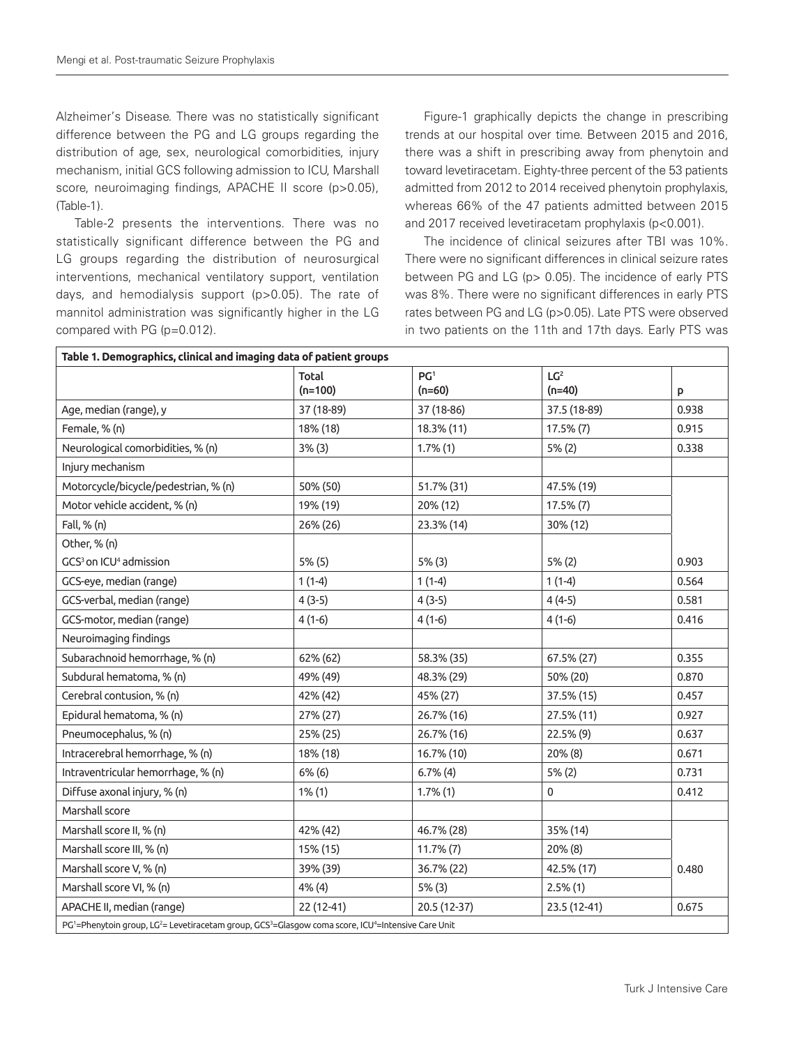Alzheimer's Disease. There was no statistically significant difference between the PG and LG groups regarding the distribution of age, sex, neurological comorbidities, injury mechanism, initial GCS following admission to ICU, Marshall score, neuroimaging findings, APACHE II score (p>0.05), (Table-1).

Table-2 presents the interventions. There was no statistically significant difference between the PG and LG groups regarding the distribution of neurosurgical interventions, mechanical ventilatory support, ventilation days, and hemodialysis support (p>0.05). The rate of mannitol administration was significantly higher in the LG compared with PG (p=0.012).

Figure-1 graphically depicts the change in prescribing trends at our hospital over time. Between 2015 and 2016, there was a shift in prescribing away from phenytoin and toward levetiracetam. Eighty-three percent of the 53 patients admitted from 2012 to 2014 received phenytoin prophylaxis, whereas 66% of the 47 patients admitted between 2015 and 2017 received levetiracetam prophylaxis (p<0.001).

The incidence of clinical seizures after TBI was 10%. There were no significant differences in clinical seizure rates between PG and LG (p> 0.05). The incidence of early PTS was 8%. There were no significant differences in early PTS rates between PG and LG (p>0.05). Late PTS were observed in two patients on the 11th and 17th days. Early PTS was

| Table 1. Demographics, clinical and imaging data of patient groups                               |                    |                             |                             |       |  |  |  |
|--------------------------------------------------------------------------------------------------|--------------------|-----------------------------|-----------------------------|-------|--|--|--|
|                                                                                                  | Total<br>$(n=100)$ | PG <sup>1</sup><br>$(n=60)$ | LG <sup>2</sup><br>$(n=40)$ | p     |  |  |  |
| Age, median (range), y                                                                           | 37 (18-89)         | 37 (18-86)                  | 37.5 (18-89)                | 0.938 |  |  |  |
| Female, % (n)                                                                                    | 18% (18)           | 18.3% (11)                  | 17.5% (7)                   | 0.915 |  |  |  |
| Neurological comorbidities, % (n)                                                                | 3% (3)             | 1.7%(1)                     | 5% (2)                      | 0.338 |  |  |  |
| Injury mechanism                                                                                 |                    |                             |                             |       |  |  |  |
| Motorcycle/bicycle/pedestrian, % (n)                                                             | 50% (50)           | 51.7% (31)                  | 47.5% (19)                  |       |  |  |  |
| Motor vehicle accident, % (n)                                                                    | 19% (19)           | 20% (12)                    | $17.5\% (7)$                |       |  |  |  |
| Fall, % (n)                                                                                      | 26% (26)           | 23.3% (14)                  | 30% (12)                    |       |  |  |  |
| Other, % (n)                                                                                     |                    |                             |                             |       |  |  |  |
| GCS <sup>3</sup> on ICU <sup>4</sup> admission                                                   | 5% (5)             | 5% (3)                      | 5% (2)                      | 0.903 |  |  |  |
| GCS-eye, median (range)                                                                          | $1(1-4)$           | $1(1-4)$                    | $1(1-4)$                    | 0.564 |  |  |  |
| GCS-verbal, median (range)                                                                       | $4(3-5)$           | $4(3-5)$                    | $4(4-5)$                    | 0.581 |  |  |  |
| GCS-motor, median (range)                                                                        | $4(1-6)$           | $4(1-6)$                    | $4(1-6)$                    | 0.416 |  |  |  |
| Neuroimaging findings                                                                            |                    |                             |                             |       |  |  |  |
| Subarachnoid hemorrhage, % (n)                                                                   | 62% (62)           | 58.3% (35)                  | 67.5% (27)                  | 0.355 |  |  |  |
| Subdural hematoma, % (n)                                                                         | 49% (49)           | 48.3% (29)                  | 50% (20)                    | 0.870 |  |  |  |
| Cerebral contusion, % (n)                                                                        | 42% (42)           | 45% (27)                    | 37.5% (15)                  | 0.457 |  |  |  |
| Epidural hematoma, % (n)                                                                         | 27% (27)           | 26.7% (16)                  | 27.5% (11)                  | 0.927 |  |  |  |
| Pneumocephalus, % (n)                                                                            | 25% (25)           | 26.7% (16)                  | 22.5% (9)                   | 0.637 |  |  |  |
| Intracerebral hemorrhage, % (n)                                                                  | 18% (18)           | 16.7% (10)                  | 20% (8)                     | 0.671 |  |  |  |
| Intraventricular hemorrhage, % (n)                                                               | 6% (6)             | $6.7\%$ (4)                 | 5% (2)                      | 0.731 |  |  |  |
| Diffuse axonal injury, % (n)                                                                     | 1% (1)             | 1.7%(1)                     | 0                           | 0.412 |  |  |  |
| Marshall score                                                                                   |                    |                             |                             |       |  |  |  |
| Marshall score II, % (n)                                                                         | 42% (42)           | 46.7% (28)                  | 35% (14)                    |       |  |  |  |
| Marshall score III, % (n)                                                                        | 15% (15)           | $11.7\%$ $(7)$              | 20% (8)                     |       |  |  |  |
| Marshall score V, % (n)                                                                          | 39% (39)           | 36.7% (22)                  | 42.5% (17)                  | 0.480 |  |  |  |
| Marshall score VI, % (n)                                                                         | 4% (4)             | 5% (3)                      | $2.5\%$ (1)                 |       |  |  |  |
| APACHE II, median (range)                                                                        | 22 (12-41)         | 20.5 (12-37)                | 23.5 (12-41)                | 0.675 |  |  |  |
| PG1=Phenytoin group, LG2= Levetiracetam group, GCS3=Glasgow coma score, ICU4=Intensive Care Unit |                    |                             |                             |       |  |  |  |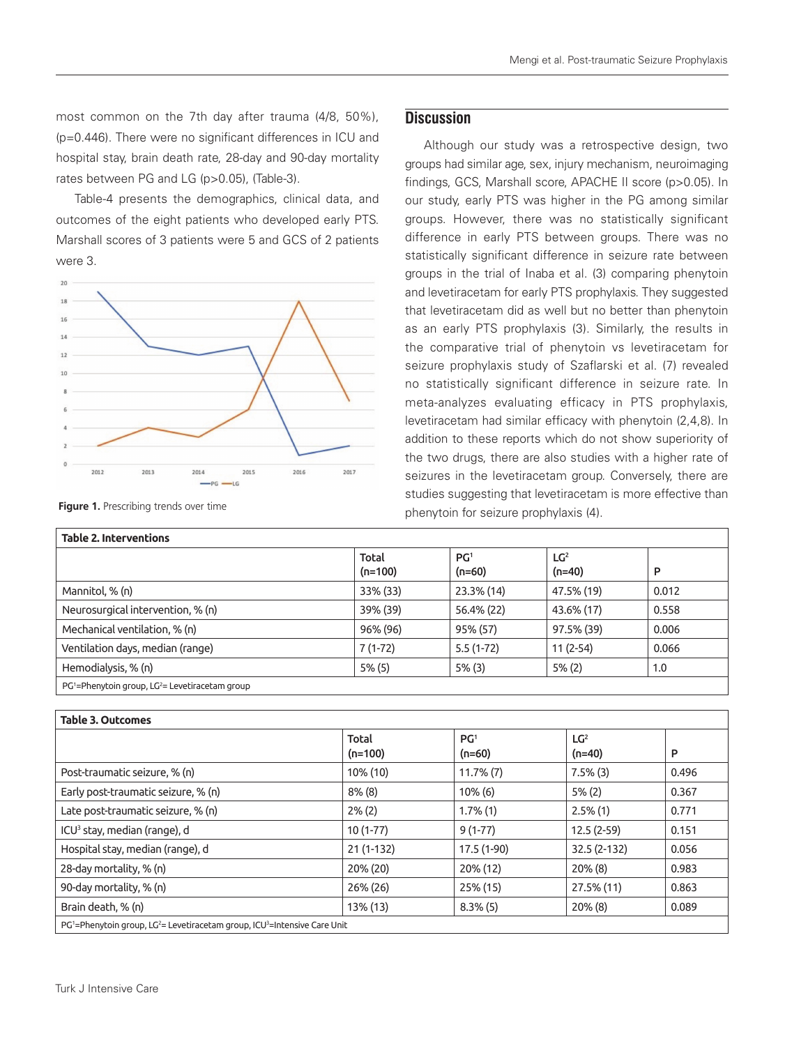most common on the 7th day after trauma (4/8, 50%), (p=0.446). There were no significant differences in ICU and hospital stay, brain death rate, 28-day and 90-day mortality rates between PG and LG (p>0.05), (Table-3).

Table-4 presents the demographics, clinical data, and outcomes of the eight patients who developed early PTS. Marshall scores of 3 patients were 5 and GCS of 2 patients were 3.



# **Discussion**

Although our study was a retrospective design, two groups had similar age, sex, injury mechanism, neuroimaging findings, GCS, Marshall score, APACHE II score (p>0.05). In our study, early PTS was higher in the PG among similar groups. However, there was no statistically significant difference in early PTS between groups. There was no statistically significant difference in seizure rate between groups in the trial of Inaba et al. (3) comparing phenytoin and levetiracetam for early PTS prophylaxis. They suggested that levetiracetam did as well but no better than phenytoin as an early PTS prophylaxis (3). Similarly, the results in the comparative trial of phenytoin vs levetiracetam for seizure prophylaxis study of Szaflarski et al. (7) revealed no statistically significant difference in seizure rate. In meta-analyzes evaluating efficacy in PTS prophylaxis, levetiracetam had similar efficacy with phenytoin (2,4,8). In addition to these reports which do not show superiority of the two drugs, there are also studies with a higher rate of seizures in the levetiracetam group. Conversely, there are studies suggesting that levetiracetam is more effective than **Figure 1.** Prescribing trends over time **Figure 1.** Prescribing trends over time

| <b>Table 2. Interventions</b>                                 |                    |                             |                             |       |  |  |  |  |
|---------------------------------------------------------------|--------------------|-----------------------------|-----------------------------|-------|--|--|--|--|
|                                                               | Total<br>$(n=100)$ | PG <sup>1</sup><br>$(n=60)$ | LG <sup>2</sup><br>$(n=40)$ | P     |  |  |  |  |
| Mannitol, % (n)                                               | 33% (33)           | 23.3% (14)                  | 47.5% (19)                  | 0.012 |  |  |  |  |
| Neurosurgical intervention, % (n)                             | 39% (39)           | 56.4% (22)                  | 43.6% (17)                  | 0.558 |  |  |  |  |
| Mechanical ventilation, % (n)                                 | 96% (96)           | 95% (57)                    | 97.5% (39)                  | 0.006 |  |  |  |  |
| Ventilation days, median (range)                              | $7(1-72)$          | $5.5(1-72)$                 | $11(2-54)$                  | 0.066 |  |  |  |  |
| Hemodialysis, % (n)                                           | $5\%$ (5)          | $5\%$ (3)                   | $5\%$ (2)                   | 1.0   |  |  |  |  |
| $PG1$ =Phenytoin group, LG <sup>2</sup> = Levetiracetam group |                    |                             |                             |       |  |  |  |  |

| <b>Table 3. Outcomes</b>                                                                             |                           |                             |                             |       |  |  |  |  |
|------------------------------------------------------------------------------------------------------|---------------------------|-----------------------------|-----------------------------|-------|--|--|--|--|
|                                                                                                      | <b>Total</b><br>$(n=100)$ | PG <sup>1</sup><br>$(n=60)$ | LG <sup>2</sup><br>$(n=40)$ | P     |  |  |  |  |
| Post-traumatic seizure, % (n)                                                                        | 10% (10)                  | $11.7\%$ $(7)$              | $7.5\%$ (3)                 | 0.496 |  |  |  |  |
| Early post-traumatic seizure, % (n)                                                                  | $8\%$ (8)                 | $10\%$ (6)                  | $5\% (2)$                   | 0.367 |  |  |  |  |
| Late post-traumatic seizure, % (n)                                                                   | $2\%$ (2)                 | $1.7\%$ (1)                 | $2.5\%$ (1)                 | 0.771 |  |  |  |  |
| ICU <sup>3</sup> stay, median (range), d                                                             | $10(1-77)$                | $9(1-77)$                   | $12.5(2-59)$                | 0.151 |  |  |  |  |
| Hospital stay, median (range), d                                                                     | $21(1-132)$               | 17.5 (1-90)                 | 32.5 (2-132)                | 0.056 |  |  |  |  |
| 28-day mortality, % (n)                                                                              | 20% (20)                  | 20% (12)                    | $20\%$ (8)                  | 0.983 |  |  |  |  |
| 90-day mortality, % (n)                                                                              | 26% (26)                  | 25% (15)                    | 27.5% (11)                  | 0.863 |  |  |  |  |
| Brain death, % (n)                                                                                   | 13% (13)                  | $8.3\%$ (5)                 | $20\%$ (8)                  | 0.089 |  |  |  |  |
| $PG1$ =Phenytoin group, LG <sup>2</sup> = Levetiracetam group, ICU <sup>3</sup> =Intensive Care Unit |                           |                             |                             |       |  |  |  |  |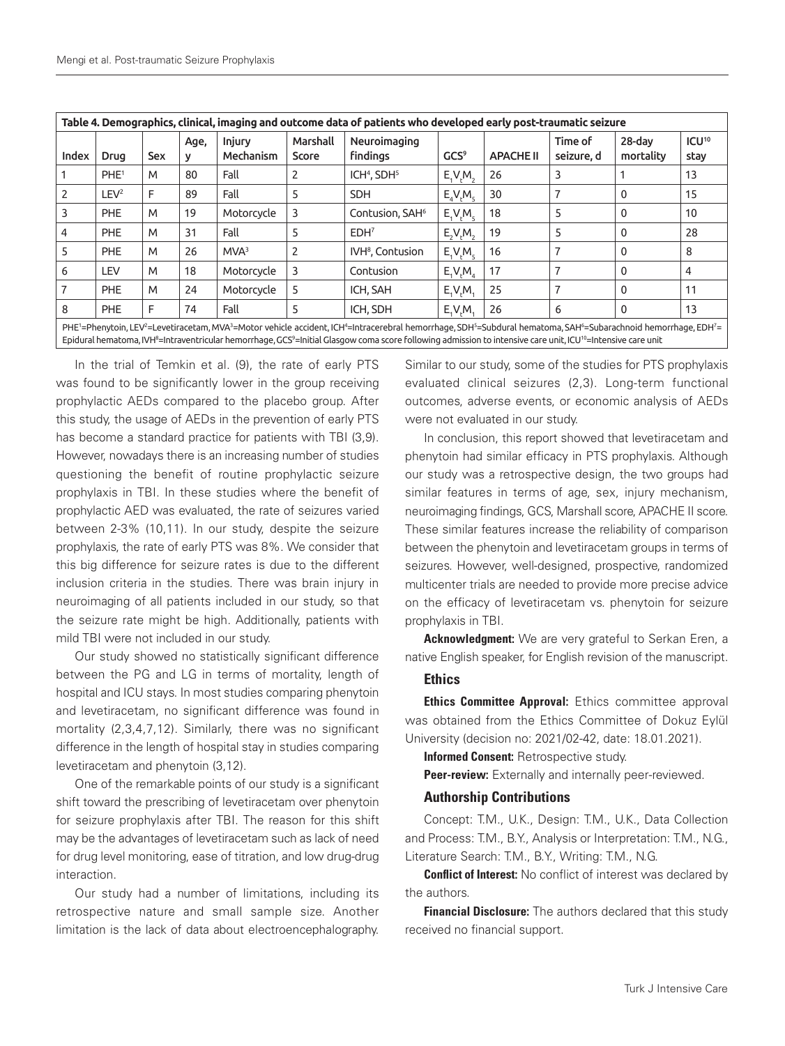| Table 4. Demographics, clinical, imaging and outcome data of patients who developed early post-traumatic seizure                                                                                                                                                                                                                                                 |                  |     |      |                            |                   |                                     |                               |                  |                       |                     |                           |
|------------------------------------------------------------------------------------------------------------------------------------------------------------------------------------------------------------------------------------------------------------------------------------------------------------------------------------------------------------------|------------------|-----|------|----------------------------|-------------------|-------------------------------------|-------------------------------|------------------|-----------------------|---------------------|---------------------------|
| Index                                                                                                                                                                                                                                                                                                                                                            | <b>Drug</b>      | Sex | Age, | <b>Injury</b><br>Mechanism | Marshall<br>Score | Neuroimaging<br><b>findings</b>     | GCS <sup>9</sup>              | <b>APACHE II</b> | Time of<br>seizure, d | 28-dav<br>mortality | ICU <sup>10</sup><br>stay |
|                                                                                                                                                                                                                                                                                                                                                                  | PHE <sup>1</sup> | M   | 80   | Fall                       | 2                 | ICH <sup>4</sup> , SDH <sup>5</sup> | E, V, M,                      | 26               | 3                     |                     | 13                        |
|                                                                                                                                                                                                                                                                                                                                                                  | LEV <sup>2</sup> | F   | 89   | Fall                       | 5                 | <b>SDH</b>                          | $E_{A}V_{A}M_{A}$             | 30               |                       | 0                   | 15                        |
|                                                                                                                                                                                                                                                                                                                                                                  | <b>PHE</b>       | M   | 19   | Motorcycle                 | 3                 | Contusion, SAH <sup>6</sup>         | $E_{\rm t}V_{\rm r}M_{\rm c}$ | 18               | 5                     | 0                   | 10                        |
| 4                                                                                                                                                                                                                                                                                                                                                                | <b>PHE</b>       | M   | 31   | Fall                       | 5                 | EDH <sup>7</sup>                    | E, V, M,                      | 19               | 5                     | 0                   | 28                        |
|                                                                                                                                                                                                                                                                                                                                                                  | <b>PHE</b>       | M   | 26   | MVA <sup>3</sup>           | 2                 | IVH <sup>8</sup> , Contusion        | $E_{\rm A}V_{\rm B}M_{\rm c}$ | 16               |                       | 0                   | 8                         |
| 6                                                                                                                                                                                                                                                                                                                                                                | LEV              | M   | 18   | Motorcycle                 | 3                 | Contusion                           | $E_1V_1M_A$                   | 17               |                       | 0                   | 4                         |
|                                                                                                                                                                                                                                                                                                                                                                  | <b>PHE</b>       | M   | 24   | Motorcycle                 |                   | ICH, SAH                            | E.V.M.                        | 25               |                       | 0                   | 11                        |
| 8                                                                                                                                                                                                                                                                                                                                                                | PHE              | F   | 74   | Fall                       | 5                 | ICH, SDH                            | E, V, M                       | 26               | 6                     | 0                   | 13                        |
| PHE1=Phenytoin, LEV2=Levetiracetam, MVA3=Motor vehicle accident, ICH4=Intracerebral hemorrhage, SDH5=Subdural hematoma, SAH6=Subarachnoid hemorrhage, EDH7=<br>Epidural hematoma, IVH <sup>8</sup> =Intraventricular hemorrhage, GCS <sup>9</sup> =Initial Glasgow coma score following admission to intensive care unit, ICU <sup>10</sup> =Intensive care unit |                  |     |      |                            |                   |                                     |                               |                  |                       |                     |                           |

In the trial of Temkin et al. (9), the rate of early PTS was found to be significantly lower in the group receiving prophylactic AEDs compared to the placebo group. After this study, the usage of AEDs in the prevention of early PTS has become a standard practice for patients with TBI (3,9). However, nowadays there is an increasing number of studies questioning the benefit of routine prophylactic seizure prophylaxis in TBI. In these studies where the benefit of prophylactic AED was evaluated, the rate of seizures varied between 2-3% (10,11). In our study, despite the seizure prophylaxis, the rate of early PTS was 8%. We consider that this big difference for seizure rates is due to the different inclusion criteria in the studies. There was brain injury in neuroimaging of all patients included in our study, so that the seizure rate might be high. Additionally, patients with mild TBI were not included in our study.

Our study showed no statistically significant difference between the PG and LG in terms of mortality, length of hospital and ICU stays. In most studies comparing phenytoin and levetiracetam, no significant difference was found in mortality (2,3,4,7,12). Similarly, there was no significant difference in the length of hospital stay in studies comparing levetiracetam and phenytoin (3,12).

One of the remarkable points of our study is a significant shift toward the prescribing of levetiracetam over phenytoin for seizure prophylaxis after TBI. The reason for this shift may be the advantages of levetiracetam such as lack of need for drug level monitoring, ease of titration, and low drug-drug interaction.

Our study had a number of limitations, including its retrospective nature and small sample size. Another limitation is the lack of data about electroencephalography. Similar to our study, some of the studies for PTS prophylaxis evaluated clinical seizures (2,3). Long-term functional outcomes, adverse events, or economic analysis of AEDs were not evaluated in our study.

In conclusion, this report showed that levetiracetam and phenytoin had similar efficacy in PTS prophylaxis. Although our study was a retrospective design, the two groups had similar features in terms of age, sex, injury mechanism, neuroimaging findings, GCS, Marshall score, APACHE II score. These similar features increase the reliability of comparison between the phenytoin and levetiracetam groups in terms of seizures. However, well-designed, prospective, randomized multicenter trials are needed to provide more precise advice on the efficacy of levetiracetam vs. phenytoin for seizure prophylaxis in TBI.

Acknowledgment: We are very grateful to Serkan Eren, a native English speaker, for English revision of the manuscript.

### **Ethics**

Ethics Committee Approval: Ethics committee approval was obtained from the Ethics Committee of Dokuz Eylül University (decision no: 2021/02-42, date: 18.01.2021).

Informed Consent: Retrospective study.

Peer-review: Externally and internally peer-reviewed.

### Authorship Contributions

Concept: T.M., U.K., Design: T.M., U.K., Data Collection and Process: T.M., B.Y., Analysis or Interpretation: T.M., N.G., Literature Search: T.M., B.Y., Writing: T.M., N.G.

**Conflict of Interest:** No conflict of interest was declared by the authors.

Financial Disclosure: The authors declared that this study received no financial support.